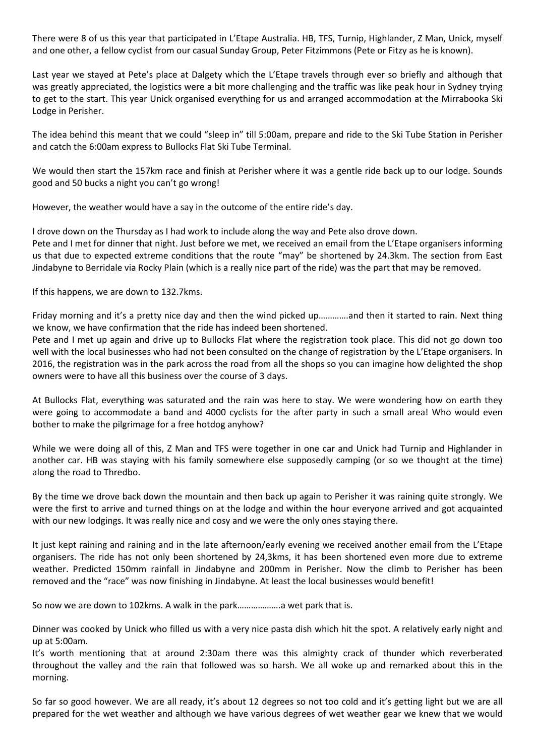There were 8 of us this year that participated in L'Etape Australia. HB, TFS, Turnip, Highlander, Z Man, Unick, myself and one other, a fellow cyclist from our casual Sunday Group, Peter Fitzimmons (Pete or Fitzy as he is known).

Last year we stayed at Pete's place at Dalgety which the L'Etape travels through ever so briefly and although that was greatly appreciated, the logistics were a bit more challenging and the traffic was like peak hour in Sydney trying to get to the start. This year Unick organised everything for us and arranged accommodation at the Mirrabooka Ski Lodge in Perisher.

The idea behind this meant that we could "sleep in" till 5:00am, prepare and ride to the Ski Tube Station in Perisher and catch the 6:00am express to Bullocks Flat Ski Tube Terminal.

We would then start the 157km race and finish at Perisher where it was a gentle ride back up to our lodge. Sounds good and 50 bucks a night you can't go wrong!

However, the weather would have a say in the outcome of the entire ride's day.

I drove down on the Thursday as I had work to include along the way and Pete also drove down. Pete and I met for dinner that night. Just before we met, we received an email from the L'Etape organisers informing us that due to expected extreme conditions that the route "may" be shortened by 24.3km. The section from East Jindabyne to Berridale via Rocky Plain (which is a really nice part of the ride) was the part that may be removed.

If this happens, we are down to 132.7kms.

Friday morning and it's a pretty nice day and then the wind picked up………….and then it started to rain. Next thing we know, we have confirmation that the ride has indeed been shortened.

Pete and I met up again and drive up to Bullocks Flat where the registration took place. This did not go down too well with the local businesses who had not been consulted on the change of registration by the L'Etape organisers. In 2016, the registration was in the park across the road from all the shops so you can imagine how delighted the shop owners were to have all this business over the course of 3 days.

At Bullocks Flat, everything was saturated and the rain was here to stay. We were wondering how on earth they were going to accommodate a band and 4000 cyclists for the after party in such a small area! Who would even bother to make the pilgrimage for a free hotdog anyhow?

While we were doing all of this, Z Man and TFS were together in one car and Unick had Turnip and Highlander in another car. HB was staying with his family somewhere else supposedly camping (or so we thought at the time) along the road to Thredbo.

By the time we drove back down the mountain and then back up again to Perisher it was raining quite strongly. We were the first to arrive and turned things on at the lodge and within the hour everyone arrived and got acquainted with our new lodgings. It was really nice and cosy and we were the only ones staying there.

It just kept raining and raining and in the late afternoon/early evening we received another email from the L'Etape organisers. The ride has not only been shortened by 24,3kms, it has been shortened even more due to extreme weather. Predicted 150mm rainfall in Jindabyne and 200mm in Perisher. Now the climb to Perisher has been removed and the "race" was now finishing in Jindabyne. At least the local businesses would benefit!

So now we are down to 102kms. A walk in the park……………….a wet park that is.

Dinner was cooked by Unick who filled us with a very nice pasta dish which hit the spot. A relatively early night and up at 5:00am.

It's worth mentioning that at around 2:30am there was this almighty crack of thunder which reverberated throughout the valley and the rain that followed was so harsh. We all woke up and remarked about this in the morning.

So far so good however. We are all ready, it's about 12 degrees so not too cold and it's getting light but we are all prepared for the wet weather and although we have various degrees of wet weather gear we knew that we would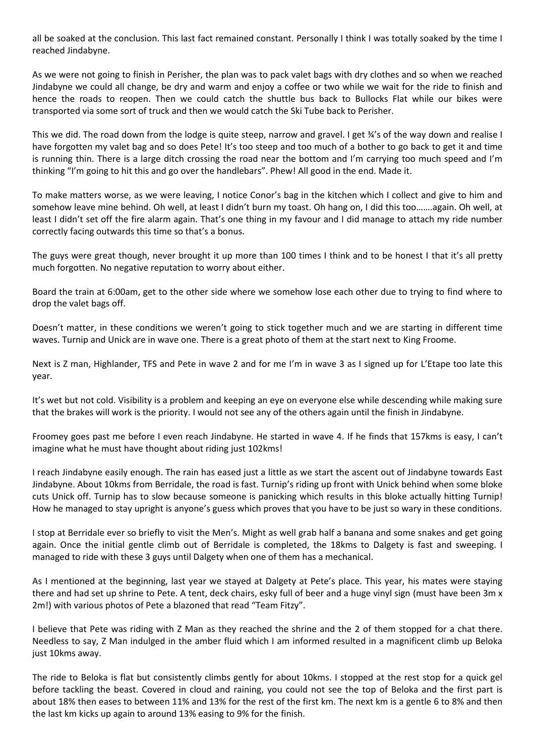all be soaked at the conclusion. This last fact remained constant. Personally I think I was totally soaked by the time I reached Jindabyne.

As we were not going to finish in Perisher, the plan was to pack valet bags with dry clothes and so when we reached Jindabyne we could all change, be dry and warm and enjoy a coffee or two while we wait for the ride to finish and hence the roads to reopen. Then we could catch the shuttle bus back to Bullocks Flat while our bikes were transported via some sort of truck and then we would catch the Ski Tube back to Perisher.

This we did. The road down from the lodge is quite steep, narrow and gravel. I get ¾'s of the way down and realise I have forgotten my valet bag and so does Pete! It's too steep and too much of a bother to go back to get it and time is running thin. There is a large ditch crossing the road near the bottom and I'm carrying too much speed and I'm thinking "I'm going to hit this and go over the handlebars". Phew! All good in the end. Made it.

To make matters worse, as we were leaving, I notice Conor's bag in the kitchen which I collect and give to him and somehow leave mine behind. Oh well, at least I didn't burn my toast. Oh hang on, I did this too…….again. Oh well, at least I didn't set off the fire alarm again. That's one thing in my favour and I did manage to attach my ride number correctly facing outwards this time so that's a bonus.

The guys were great though, never brought it up more than 100 times I think and to be honest I that it's all pretty much forgotten. No negative reputation to worry about either.

Board the train at 6:00am, get to the other side where we somehow lose each other due to trying to find where to drop the valet bags off.

Doesn't matter, in these conditions we weren't going to stick together much and we are starting in different time waves. Turnip and Unick are in wave one. There is a great photo of them at the start next to King Froome.

Next is Z man, Highlander, TFS and Pete in wave 2 and for me I'm in wave 3 as I signed up for L'Etape too late this year.

It's wet but not cold. Visibility is a problem and keeping an eye on everyone else while descending while making sure that the brakes will work is the priority. I would not see any of the others again until the finish in Jindabyne.

Froomey goes past me before I even reach Jindabyne. He started in wave 4. If he finds that 157kms is easy, I can't imagine what he must have thought about riding just 102kms!

I reach Jindabyne easily enough. The rain has eased just a little as we start the ascent out of Jindabyne towards East Jindabyne. About 10kms from Berridale, the road is fast. Turnip's riding up front with Unick behind when some bloke cuts Unick off. Turnip has to slow because someone is panicking which results in this bloke actually hitting Turnip! How he managed to stay upright is anyone's guess which proves that you have to be just so wary in these conditions.

I stop at Berridale ever so briefly to visit the Men's. Might as well grab half a banana and some snakes and get going again. Once the initial gentle climb out of Berridale is completed, the 18kms to Dalgety is fast and sweeping. I managed to ride with these 3 guys until Dalgety when one of them has a mechanical.

As I mentioned at the beginning, last year we stayed at Dalgety at Pete's place. This year, his mates were staying there and had set up shrine to Pete. A tent, deck chairs, esky full of beer and a huge vinyl sign (must have been 3m x 2m!) with various photos of Pete a blazoned that read "Team Fitzy".

I believe that Pete was riding with Z Man as they reached the shrine and the 2 of them stopped for a chat there. Needless to say, Z Man indulged in the amber fluid which I am informed resulted in a magnificent climb up Beloka just 10kms away.

The ride to Beloka is flat but consistently climbs gently for about 10kms. I stopped at the rest stop for a quick gel before tackling the beast. Covered in cloud and raining, you could not see the top of Beloka and the first part is about 18% then eases to between 11% and 13% for the rest of the first km. The next km is a gentle 6 to 8% and then the last km kicks up again to around 13% easing to 9% for the finish.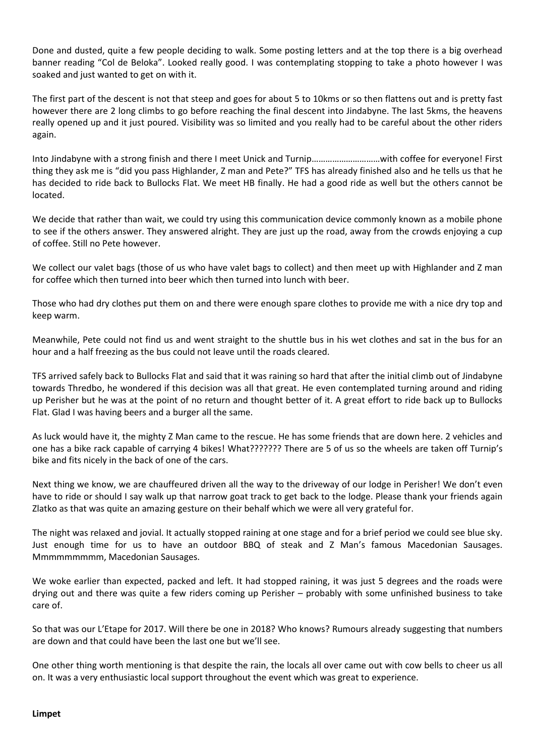Done and dusted, quite a few people deciding to walk. Some posting letters and at the top there is a big overhead banner reading "Col de Beloka". Looked really good. I was contemplating stopping to take a photo however I was soaked and just wanted to get on with it.

The first part of the descent is not that steep and goes for about 5 to 10kms or so then flattens out and is pretty fast however there are 2 long climbs to go before reaching the final descent into Jindabyne. The last 5kms, the heavens really opened up and it just poured. Visibility was so limited and you really had to be careful about the other riders again.

Into Jindabyne with a strong finish and there I meet Unick and Turnip…………………………with coffee for everyone! First thing they ask me is "did you pass Highlander, Z man and Pete?" TFS has already finished also and he tells us that he has decided to ride back to Bullocks Flat. We meet HB finally. He had a good ride as well but the others cannot be located.

We decide that rather than wait, we could try using this communication device commonly known as a mobile phone to see if the others answer. They answered alright. They are just up the road, away from the crowds enjoying a cup of coffee. Still no Pete however.

We collect our valet bags (those of us who have valet bags to collect) and then meet up with Highlander and Z man for coffee which then turned into beer which then turned into lunch with beer.

Those who had dry clothes put them on and there were enough spare clothes to provide me with a nice dry top and keep warm.

Meanwhile, Pete could not find us and went straight to the shuttle bus in his wet clothes and sat in the bus for an hour and a half freezing as the bus could not leave until the roads cleared.

TFS arrived safely back to Bullocks Flat and said that it was raining so hard that after the initial climb out of Jindabyne towards Thredbo, he wondered if this decision was all that great. He even contemplated turning around and riding up Perisher but he was at the point of no return and thought better of it. A great effort to ride back up to Bullocks Flat. Glad I was having beers and a burger all the same.

As luck would have it, the mighty Z Man came to the rescue. He has some friends that are down here. 2 vehicles and one has a bike rack capable of carrying 4 bikes! What??????? There are 5 of us so the wheels are taken off Turnip's bike and fits nicely in the back of one of the cars.

Next thing we know, we are chauffeured driven all the way to the driveway of our lodge in Perisher! We don't even have to ride or should I say walk up that narrow goat track to get back to the lodge. Please thank your friends again Zlatko as that was quite an amazing gesture on their behalf which we were all very grateful for.

The night was relaxed and jovial. It actually stopped raining at one stage and for a brief period we could see blue sky. Just enough time for us to have an outdoor BBQ of steak and Z Man's famous Macedonian Sausages. Mmmmmmmmm, Macedonian Sausages.

We woke earlier than expected, packed and left. It had stopped raining, it was just 5 degrees and the roads were drying out and there was quite a few riders coming up Perisher – probably with some unfinished business to take care of.

So that was our L'Etape for 2017. Will there be one in 2018? Who knows? Rumours already suggesting that numbers are down and that could have been the last one but we'll see.

One other thing worth mentioning is that despite the rain, the locals all over came out with cow bells to cheer us all on. It was a very enthusiastic local support throughout the event which was great to experience.